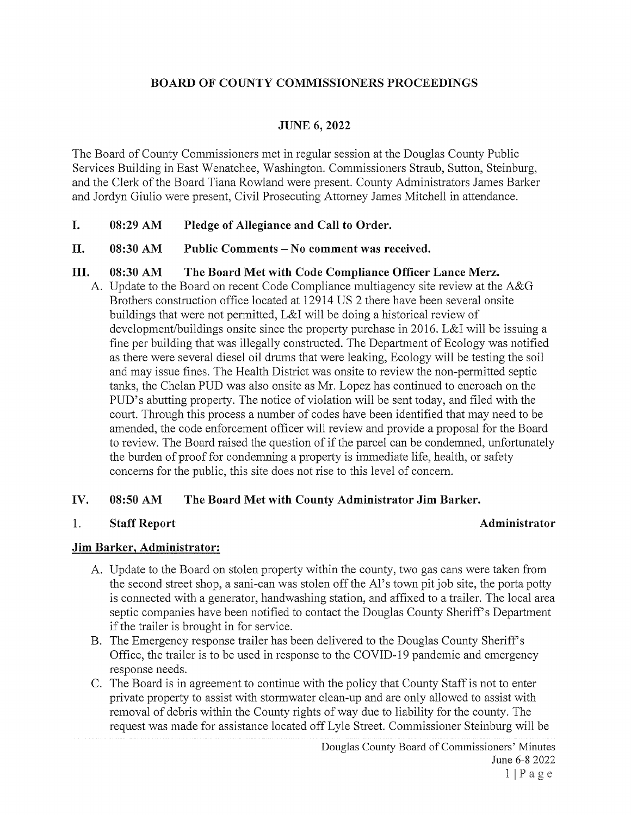# BOARD OF COUNTY COMMISSIONERS PROCEEDINGS

## JUNE 6, 2022

The Board of County Commissioners met in regular session at the Douglas County Public Services Building in East Wenatchee, Washington. Commissioners Straub, Sutton, Steinburg, and the Clerk of the Board Tiana Rowland were present. County Administrators James Barker and Jordyn Giulio were present, Civil Prosecuting Attorney James Mitchell in attendance.

L. 08:29 AM Pledge of Allegiance and Call to Order.

#### II. 08:30 AM Public Comments — No comment was received.

### III. 08:30 AM The Board Met with Code Compliance Officer Lance Merz.

A. Update to the Board on recent Code Compliance multiagency site review at the A&G Brothers construction office located at 12914 US 2 there have been several onsite buildings that were not permitted, L&I will be doing <sup>a</sup> historical review of development/buildings onsite since the property purchase in 2016. L&I will be issuing <sup>a</sup> fine per building that was illegally constructed. The Department of Ecology was notified as there were several diesel oil drums that were leaking, Ecology will be testing the soil and may issue fines. The Health District was onsite to review the non-permitted septic tanks, the Chelan PUD was also onsite as Mr. Lopez has continued to encroach on the PUD's abutting property. The notice of violation will be sent today, and filed with the court. Through this process a number of codes have been identified that may need to be amended, the code enforcement officer will review and provide <sup>a</sup> proposal for the Board to review. The Board raised the question of if the parcel can be condemned, unfortunately the burden of proof for condemning <sup>a</sup> property is immediate life, health, or safety concerns for the public, this site does not rise to this level of concern.

## IV. 08:50 AM The Board Met with County Administrator Jim Barker.

#### 1.

#### Staff Report Administrator

## Jim Barker, Administrator:

- A. Update to the Board on stolen property within the county, two gas cans were taken from the second street shop, <sup>a</sup> sani-can was stolen off the Al's town pit job site, the porta potty is connected with a generator, handwashing station, and affixed to a trailer. The local area septic companies have been notified to contact the Douglas County Sheriff's Department if the trailer is brought in for service.
- B. The Emergency response trailer has been delivered to the Douglas County Sheriff's Office, the trailer is to be used in response to the COVID-19 pandemic and emergency response needs.
- C. The Board is in agreement to continue with the policy that County Staff is not to enter private property to assist with stormwater clean-up and are only allowed to assist with removal of debris within the County rights of way due to liability for the county. The request was made for assistance located off Lyle Street. Commissioner Steinburg will be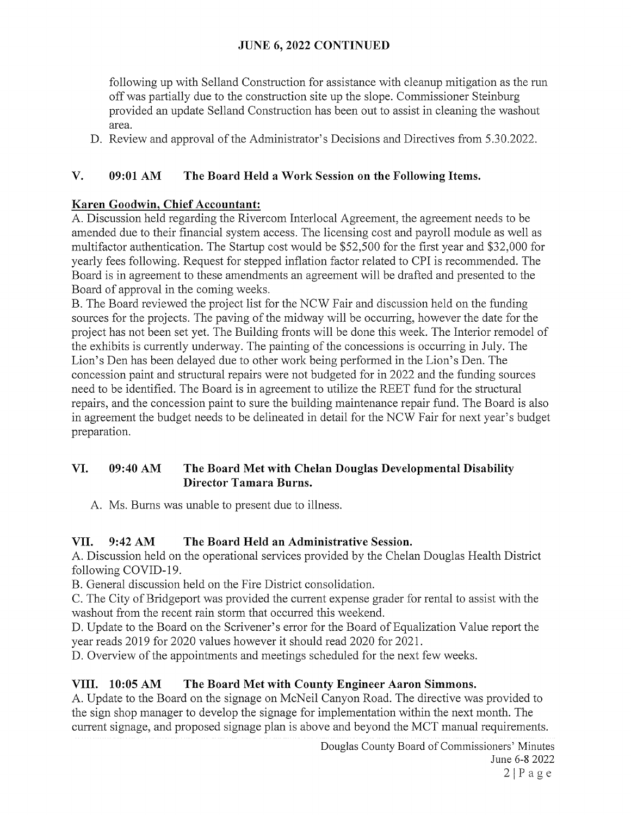# JUNE 6, 2022 CONTINUED

following up with Selland Construction for assistance with cleanup mitigation as the run off was partially due to the construction site up the slope. Commissioner Steinburg provided an update Selland Construction has been out to assist in cleaning the washout area.

D. Review and approval of the Administrator's Decisions and Directives from 5.30.2022.

# V. 09:01 AM The Board Held a Work Session on the Following Items.

# Karen Goodwin, Chief Accountant:

A. Discussion held regarding the Rivercom Interlocal Agreement, the agreement needs to be amended due to their financial system access. The licensing cost and payroll module as well as multifactor authentication. The Startup cost would be \$52,500 for the first year and \$32,000 for yearly fees following. Request for stepped inflation factor related to CPI is recommended. The Board is in agreement to these amendments an agreement will be drafted and presented to the Board of approval in the coming weeks.

B. The Board reviewed the project list for the NCW Fair and discussion held on the funding sources for the projects. The paving of the midway will be occurring, however the date for the project has not been set yet. The Building fronts will be done this week. The Interior remodel of the exhibits is currently underway. The painting of the concessions is occurring in July. The Lion's Den has been delayed due to other work being performed in the Lion's Den. The concession paint and structural repairs were not budgeted for in 2022 and the funding sources need to be identified. The Board is in agreement to utilize the REET fund for the structural repairs, and the concession paint to sure the building maintenance repair fund. The Board is also in agreement the budget needs to be delineated in detail for the NCW Fair for next year's budget preparation.

# VI. 09:40 AM The Board Met with Chelan Douglas Developmental Disability Director Tamara Burns.

A. Ms. Burns was unable to present due to illness.

# VII. 9:42 AM The Board Held an Administrative Session.

A. Discussion held on the operational services provided by the Chelan Douglas Health District following COVID-19.

B. General discussion held on the Fire District consolidation.

C. The City of Bridgeport was provided the current expense grader for rental to assist with the washout from the recent rain storm that occurred this weekend.

D. Update to the Board on the Scrivener's error for the Board of Equalization Value report the year reads 2019 for 2020 values however it should read 2020 for 2021.

D. Overview of the appointments and meetings scheduled for the next few weeks.

# VIII. 10:05 AM The Board Met with County Engineer Aaron Simmons.

A. Update to the Board on the signage on McNeil Canyon Road. The directive was provided to the sign shop manager to develop the signage for implementation within the next month. The current signage, and proposed signage plan is above and beyond the MCT manual requirements.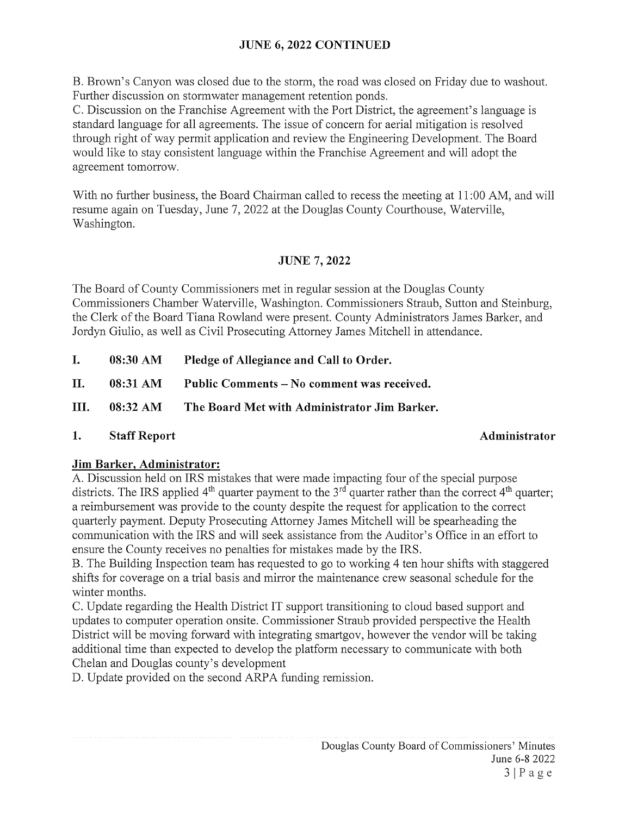# JUNE 6, 2022 CONTINUED

B. Brown's Canyon was closed due to the storm, the road was closed on Friday due to washout. Further discussion on stormwater management retention ponds.

C. Discussion on the Franchise Agreement with the Port District, the agreement's language is standard language for all agreements. The issue of concern for aerial mitigation is resolved through right of way permit application and review the Engineering Development. The Board would like to stay consistent language within the Franchise Agreement and will adopt the agreement tomorrow.

With no further business, the Board Chairman called to recess the meeting at 11:00 AM, and will resume again on Tuesday, June 7, 2022 at the Douglas County Courthouse, Waterville, Washington.

# JUNE 7, 2022

The Board of County Commissioners met in regular session at the Douglas County Commissioners Chamber Waterville, Washington. Commissioners Straub, Sutton and Steinburg, the Clerk of the Board Tiana Rowland were present. County Administrators James Barker, and Jordyn Giulio, as well as Civil Prosecuting Attorney James Mitchell in attendance.

I. 08:30 AM Pledge of Allegiance and Call to Order.

II. 08:31 AM Public Comments – No comment was received.

- III. 08:32 AM The Board Met with Administrator Jim Barker.
- 1. Staff Report Administrator

## Jim Barker, Administrator:

A. Discussion held on IRS mistakes that were made impacting four of the special purpose districts. The IRS applied  $4<sup>th</sup>$  quarter payment to the  $3<sup>rd</sup>$  quarter rather than the correct  $4<sup>th</sup>$  quarter; a reimbursement was provide to the county despite the request for application to the correct quarterly payment. Deputy Prosecuting Attorney James Mitchell will be spearheading the communication with the IRS and will seek assistance from the Auditor's Office in an effort to ensure the County receives no penalties for mistakes made by the IRS.

B. The Building Inspection team has requested to go to working 4 ten hour shifts with staggered shifts for coverage on a trial basis and mirror the maintenance crew seasonal schedule for the winter months.

C. Update regarding the Health District IT support transitioning to cloud based support and updates to computer operation onsite. Commissioner Straub provided perspective the Health District will be moving forward with integrating smartgov, however the vendor will be taking additional time than expected to develop the platform necessary to communicate with both Chelan and Douglas county's development

D. Update provided on the second ARPA funding remission.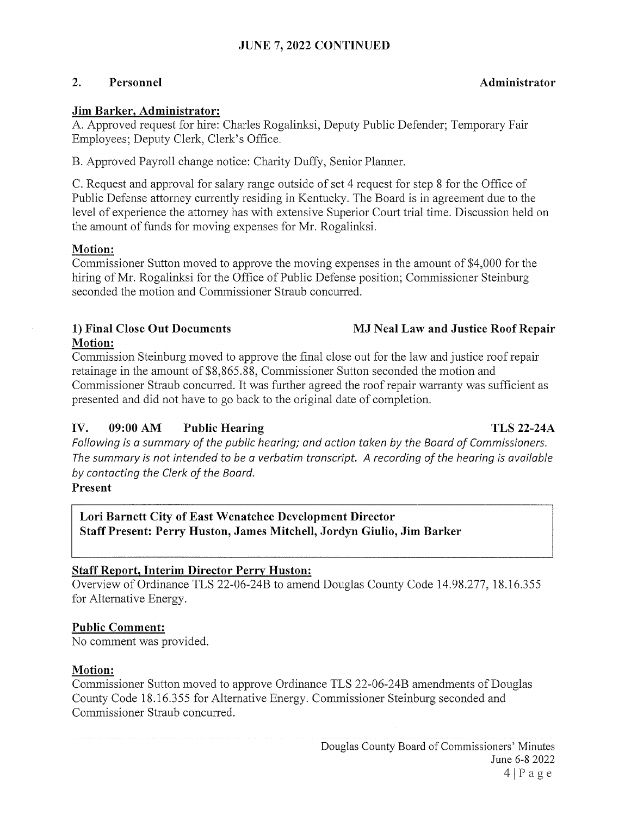# JUNE 7, 2022 CONTINUED

### 2. Personnel and a settlement of the settlement of the Administrator control and a settlement of the Administrator

#### Jim Barker, Administrator:

A. Approved request for hire: Charles Rogalinksi, Deputy Public Defender; Temporary Fair Employees; Deputy Clerk, Clerk's Office.

B. Approved Payroll change notice: Charity Duffy, Senior Planner.

C. Request and approval for salary range outside of set 4 request for step <sup>8</sup> for the Office of Public Defense attorney currently residing in Kentucky. The Board is in agreement due to the level of experience the attorney has with extensive Superior Court trial time. Discussion held on the amount of funds for moving expenses for Mr. Rogalinksi.

### Motion:

Commissioner Sutton moved to approve the moving expenses in the amount of \$4,000 for the hiring of Mr. Rogalinksi for the Office of Public Defense position; Commissioner Steinburg seconded the motion and Commissioner Straub concurred.

# 1) Final Close Out Documents MJ Neal Law and Justice Roof Repair Motion:

Commission Steinburg moved to approve the final close out for the law and justice roof repair retainage in the amount of \$8,865.88, Commissioner Sutton seconded the motion and Commissioner Straub concurred. It was further agreed the roof repair warranty was sufficient as presented and did not have to go back to the original date of completion.

# IV. 09:00 AM Public Hearing TLS 22-24A

Following is a summary of the public hearing; and action taken by the Board of Commissioners. The summary is not intended to be a verbatim transcript. A recording of the hearing is available by contacting the Clerk of the Board.

## Present

# Lori Barnett City of East Wenatchee Development Director Staff Present: Perry Huston, James Mitchell, Jordyn Giulio, Jim Barker

## Staff Report, Interim Director Perry Huston:

Overview of Ordinance TLS 22-06-24B to amend Douglas County Code 14.98.277, 18.16.355 for Alternative Energy.

## Public Comment:

No comment was provided.

## Motion:

Commissioner Sutton moved to approve Ordinance TLS 22-06-24B amendments of Douglas County Code 18. 16.355 for Alternative Energy. Commissioner Steinburg seconded and Commissioner Straub concurred.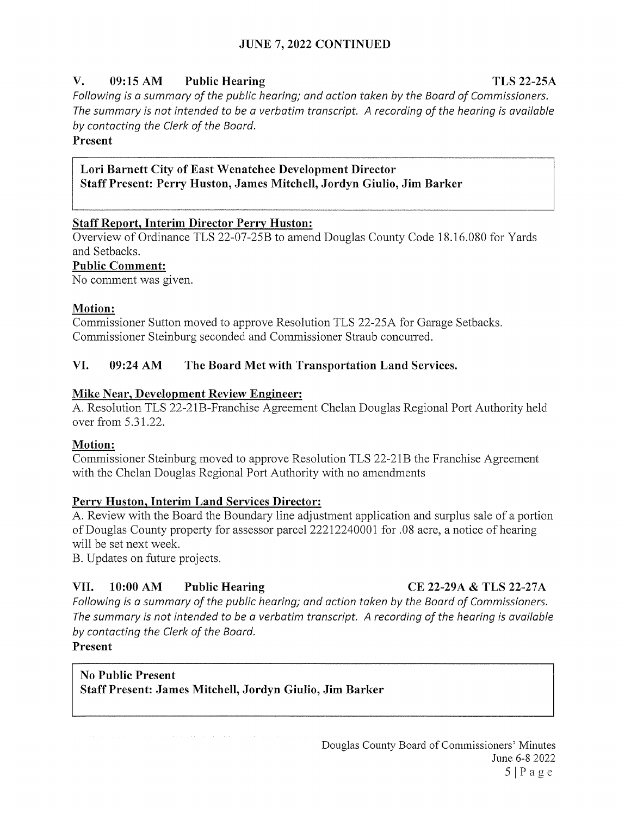# V. 09:15 AM Public Hearing TLS 22-25A

Following is a summary of the public hearing; and action taken by the Board of Commissioners. The summary is not intended to be a verbatim transcript. A recording of the hearing is available by contacting the Clerk of the Board.

Present

## Lori Barnett City of East Wenatchee Development Director Staff Present: Perry Huston, James Mitchell, Jordyn Giulio, Jim Barker

# Staff Report, Interim Director Perry Huston:

Overview of Ordinance TLS 22-07-25B to amend Douglas County Code 18.16.080 for Yards and Setbacks.

### Public Comment:

No comment was given.

## Motion:

Commissioner Sutton moved to approve Resolution TLS 22-25A for Garage Setbacks. Commissioner Steinburg seconded and Commissioner Straub concurred,

## VI. 09:24 AM The Board Met with Transportation Land Services.

## Mike Near, Development Review Engineer:

A. Resolution TLS 22-21B-Franchise Agreement Chelan Douglas Regional Port Authority held over from 5.3 1.22.

## Motion:

Commissioner Steinburg moved to approve Resolution TLS 22-2 lB the Franchise Agreement with the Chelan Douglas Regional Port Authority with no amendments

## Perry Huston, Interim Land Services Director:

A. Review with the Board the Boundary line adjustment application and surplus sale of <sup>a</sup> portion of Douglas County property for assessor parcel 22212240001 for .08 acre, <sup>a</sup> notice of hearing will be set next week.

B. Updates on future projects.

# VII. 10:00 AM Public Hearing CE 22-29A & TLS 22-27A

Following is a summary of the public hearing; and action taken by the Board of Commissioners. The summary is not intended to be a verbatim transcript. A recording of the hearing is available by contacting the Clerk of the Board.

Present

# No Public Present Staff Present: James Mitchell, Jordyn Giulio, Jim Barker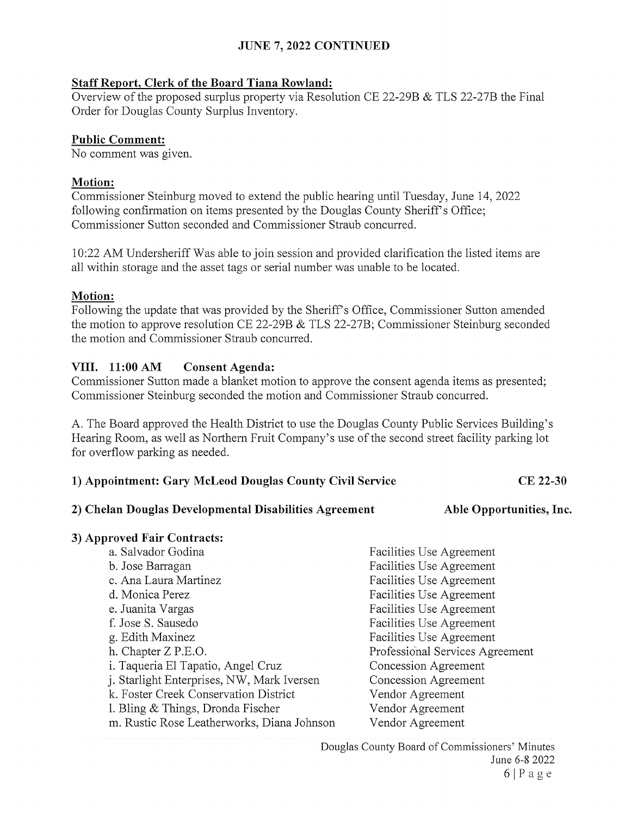## JUNE 7, 2022 CONTINUED

#### Staff Report, Clerk of the Board Tiana Rowland:

Overview of the proposed surplus property via Resolution CE 22-29B & TLS 22-27B the Final Order for Douglas County Surplus Inventory.

#### Public Comment:

No comment was given.

#### Motion:

Commissioner Steinburg moved to extend the public hearing until Tuesday, June 14, 2022 following confirmation on items presented by the Douglas County Sheriff's Office; Commissioner Sutton seconded and Commissioner Straub concurred.

10:22 AM Undersheriff Was able to join session and provided clarification the listed items are all within storage and the asset tags or serial number was unable to be located.

### Motion:

Following the update that was provided by the Sheriff's Office, Commissioner Sutton amended the motion to approve resolution CE 22-29B & TLS 22-27B; Commissioner Steinburg seconded the motion and Commissioner Straub concurred.

### VIII. 11:00 AM Consent Agenda:

Commissioner Sutton made a blanket motion to approve the consent agenda items as presented; Commissioner Steinburg seconded the motion and Commissioner Straub concurred.

A. The Board approved the Health District to use the Douglas County Public Services Building's Hearing Room, as well as Northern Fruit Company's use of the second street facility parking lot for overflow parking as needed.

| 1) Appointment: Gary McLeod Douglas County Civil Service |  |  |  | CE 22-30 |
|----------------------------------------------------------|--|--|--|----------|
|----------------------------------------------------------|--|--|--|----------|

#### 2) Chelan Douglas Developmental Disabilities Agreement

Able Opportunities, Inc.

## 3) Approved Fair Contracts:

| a. Salvador Godina                         | Facilities Use Agreement        |
|--------------------------------------------|---------------------------------|
| b. Jose Barragan                           | Facilities Use Agreement        |
| c. Ana Laura Martinez                      | Facilities Use Agreement        |
| d. Monica Perez                            | Facilities Use Agreement        |
| e. Juanita Vargas                          | Facilities Use Agreement        |
| f. Jose S. Sausedo                         | Facilities Use Agreement        |
| g. Edith Maxinez                           | Facilities Use Agreement        |
| h. Chapter Z P.E.O.                        | Professional Services Agreement |
| i. Taqueria El Tapatio, Angel Cruz         | Concession Agreement            |
| j. Starlight Enterprises, NW, Mark Iversen | Concession Agreement            |
| k. Foster Creek Conservation District      | Vendor Agreement                |
| 1. Bling $&$ Things, Dronda Fischer        | Vendor Agreement                |
| m. Rustic Rose Leatherworks, Diana Johnson | Vendor Agreement                |

Douglas County Board of Commissioners' Minutes June 6-8 2022  $6|Page$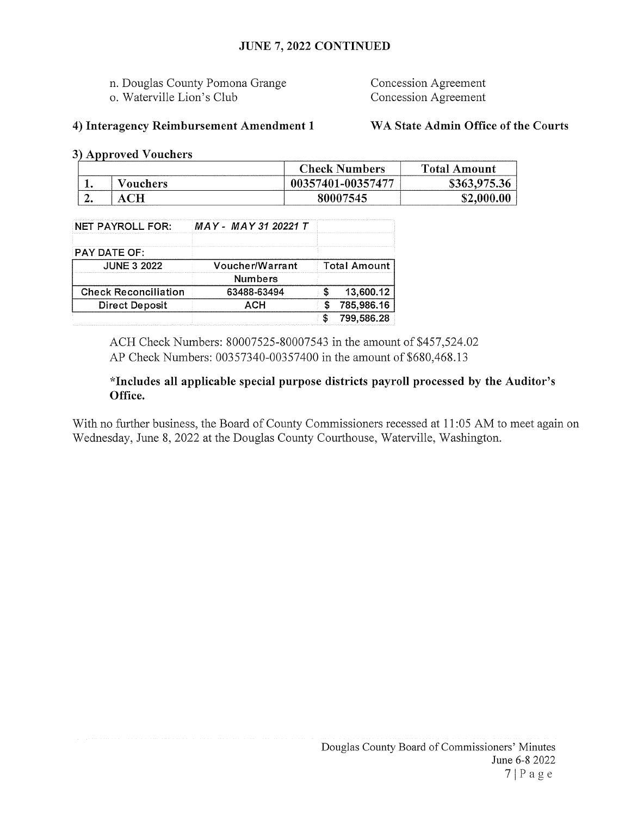## JUNE 7, 2022 CONTINUED

- n. Douglas County Pomona Grange Concession Agreement
- o. Waterville Lion's Club Concession Agreement

## 4) Interagency Reimbursement Amendment <sup>1</sup> WA State Admin Office of the Courts

3) Approved Vouchers

|     |          | <b>Check Numbers</b> | Total Amount |
|-----|----------|----------------------|--------------|
|     | Vouchers | 00357401-00357477    | \$363,975.36 |
| . . |          | 80007545             | \$2,000.00   |

| NET PAYROLL FOR:            | MAY - MAY 31 20221 T |                     |            |
|-----------------------------|----------------------|---------------------|------------|
| PAY DATE OF:                |                      |                     |            |
| <b>JUNE 3 2022</b>          | Voucher/Warrant      | <b>Total Amount</b> |            |
|                             | <b>Numbers</b>       |                     |            |
| <b>Check Reconciliation</b> | 63488-63494          |                     | 13,600.12  |
| <b>Direct Deposit</b>       | ACH                  |                     | 785,986.16 |
|                             |                      |                     | 799.586.28 |

ACH Check Numbers: 80007525-80007543 in the amount of \$457,524.02 AP Check Numbers: 00357340-00357400 in the amount of \$680,468.13

## \*Includes all applicable special purpose districts payroll processed by the Auditor's Office.

With no further business, the Board of County Commissioners recessed at 11:05 AM to meet again on Wednesday, June 8, 2022 at the Douglas County Courthouse, Waterville, Washington.